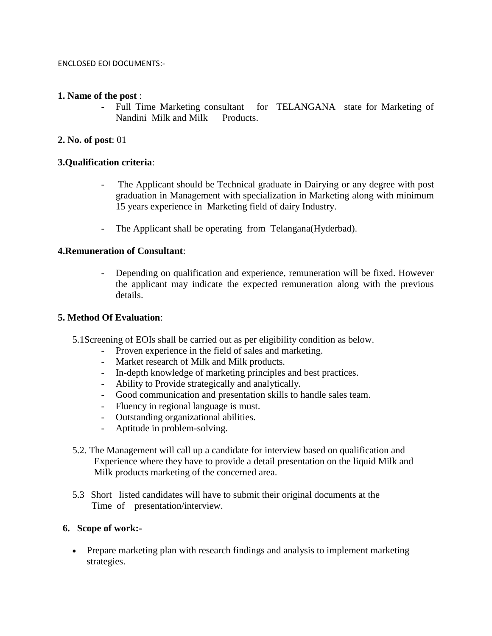#### ENCLOSED EOI DOCUMENTS:-

#### **1. Name of the post** :

- Full Time Marketing consultant for TELANGANA state for Marketing of Nandini Milk and Milk Products.

## **2. No. of post**: 01

## **3.Qualification criteria**:

- The Applicant should be Technical graduate in Dairying or any degree with post graduation in Management with specialization in Marketing along with minimum 15 years experience in Marketing field of dairy Industry.
- The Applicant shall be operating from Telangana(Hyderbad).

## **4.Remuneration of Consultant**:

- Depending on qualification and experience, remuneration will be fixed. However the applicant may indicate the expected remuneration along with the previous details.

#### **5. Method Of Evaluation**:

- 5.1Screening of EOIs shall be carried out as per eligibility condition as below.
	- Proven experience in the field of sales and marketing.
	- Market research of Milk and Milk products.
	- In-depth knowledge of marketing principles and best practices.
	- Ability to Provide strategically and analytically.
	- Good communication and presentation skills to handle sales team.
	- Fluency in regional language is must.
	- Outstanding organizational abilities.
	- Aptitude in problem-solving.
- 5.2. The Management will call up a candidate for interview based on qualification and Experience where they have to provide a detail presentation on the liquid Milk and Milk products marketing of the concerned area.
- 5.3 Short listed candidates will have to submit their original documents at the Time of presentation/interview.

## **6. Scope of work:-**

• Prepare marketing plan with research findings and analysis to implement marketing strategies.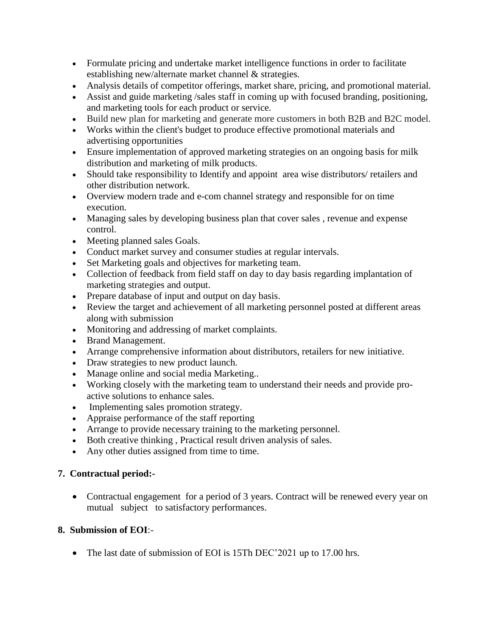- Formulate pricing and undertake market intelligence functions in order to facilitate establishing new/alternate market channel & strategies.
- Analysis details of competitor offerings, market share, pricing, and promotional material.
- Assist and guide marketing /sales staff in coming up with focused branding, positioning, and marketing tools for each product or service.
- Build new plan for marketing and generate more customers in both B2B and B2C model.
- Works within the client's budget to produce effective promotional materials and advertising opportunities
- Ensure implementation of approved marketing strategies on an ongoing basis for milk distribution and marketing of milk products.
- Should take responsibility to Identify and appoint area wise distributors/ retailers and other distribution network.
- Overview modern trade and e-com channel strategy and responsible for on time execution.
- Managing sales by developing business plan that cover sales , revenue and expense control.
- Meeting planned sales Goals.
- Conduct market survey and consumer studies at regular intervals.
- Set Marketing goals and objectives for marketing team.
- Collection of feedback from field staff on day to day basis regarding implantation of marketing strategies and output.
- Prepare database of input and output on day basis.
- Review the target and achievement of all marketing personnel posted at different areas along with submission
- Monitoring and addressing of market complaints.
- Brand Management.
- Arrange comprehensive information about distributors, retailers for new initiative.
- Draw strategies to new product launch.
- Manage online and social media Marketing..
- Working closely with the marketing team to understand their needs and provide proactive solutions to enhance sales.
- Implementing sales promotion strategy.
- Appraise performance of the staff reporting
- Arrange to provide necessary training to the marketing personnel.
- Both creative thinking , Practical result driven analysis of sales.
- Any other duties assigned from time to time.

# **7. Contractual period:-**

• Contractual engagement for a period of 3 years. Contract will be renewed every year on mutual subject to satisfactory performances.

# **8. Submission of EOI**:-

• The last date of submission of EOI is 15Th DEC'2021 up to 17.00 hrs.